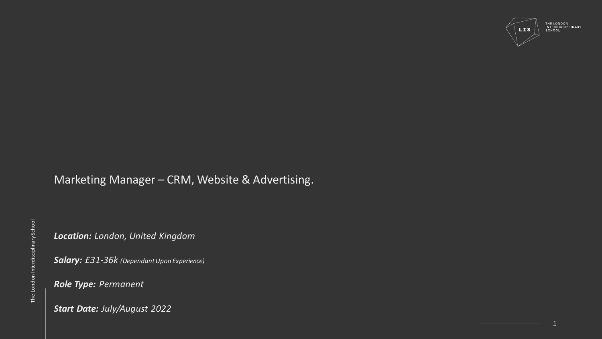

Marketing Manager – CRM, Website & Advertising.

*Location: London, United Kingdom*

*Salary: £31-36k (Dependant Upon Experience)*

*Role Type: Permanent*

*Start Date: July/August 2022*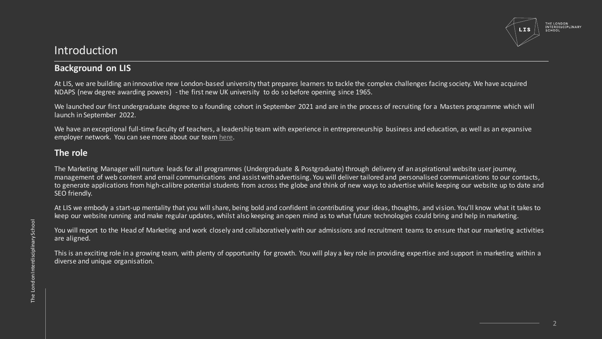

### Introduction

#### **Background on LIS**

At LIS, we are building an innovative new London-based university that prepares learners to tackle the complex challenges facing society. We have acquired NDAPS (new degree awarding powers) - the first new UK university to do so before opening since 1965.

We launched our first undergraduate degree to a founding cohort in September 2021 and are in the process of recruiting for a Masters programme which will launch in September 2022.

We have an exceptional full-time faculty of teachers, a leadership team with experience in entrepreneurship business and education, as well as an expansive employer network. You can see more about our team [here.](https://www.londoninterdisciplinaryschool.org/team/)

#### **The role**

The Marketing Manager will nurture leads for all programmes (Undergraduate & Postgraduate) through delivery of an aspirational website user journey, management of web content and email communications and assist with advertising. You will deliver tailored and personalised communications to our contacts, to generate applications from high-calibre potential students from across the globe and think of new ways to advertise while keeping our website up to date and SEO friendly.

At LIS we embody a start-up mentality that you will share, being bold and confident in contributing your ideas, thoughts, and vision. You'll know what it takes to keep our website running and make regular updates, whilst also keeping an open mind as to what future technologies could bring and help in marketing.

You will report to the Head of Marketing and work closely and collaboratively with our admissions and recruitment teams to ensure that our marketing activities are aligned.

This is an exciting role in a growing team, with plenty of opportunity for growth. You will play a key role in providing expertise and support in marketing within a diverse and unique organisation.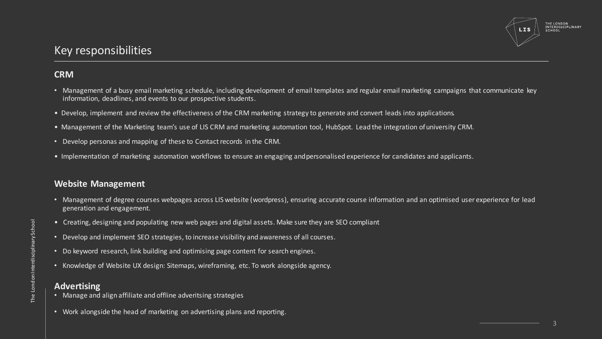

# Key responsibilities

#### **CRM**

- Management of a busy email marketing schedule, including development of email templates and regular email marketing campaigns that communicate key information, deadlines, and events to our prospective students.
- Develop, implement and review the effectiveness of the CRM marketing strategy to generate and convert leads into applications.
- Management of the Marketing team's use of LIS CRM and marketing automation tool, HubSpot. Lead the integration ofuniversity CRM.
- Develop personas and mapping of these to Contact records in the CRM.
- Implementation of marketing automation workflows to ensure an engaging and personalised experience for candidates and applicants.

#### **Website Management**

- Management of degree courses webpages across LIS website (wordpress), ensuring accurate course information and an optimised user experience for lead generation and engagement.
- Creating, designing and populating new web pages and digital assets. Make sure they are SEO compliant
- Develop and implement SEO strategies, to increase visibility and awareness of all courses.
- Do keyword research, link building and optimising page content for search engines.
- Knowledge of Website UX design: Sitemaps, wireframing, etc. To work alongside agency.

#### **Advertising**

- Manage and align affiliate and offline adveritsing strategies
- Work alongside the head of marketing on advertising plans and reporting.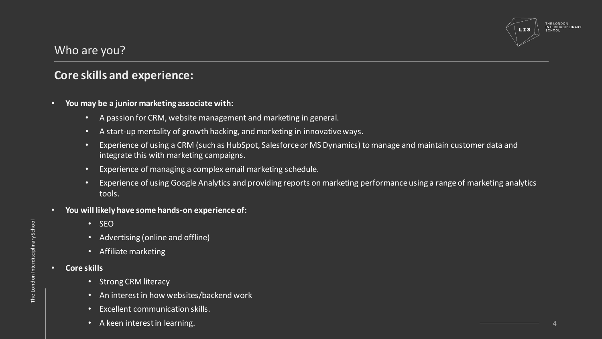

# Who are you?

## **Core skills and experience:**

- **You may be a junior marketing associate with:**
	- A passion for CRM, website management and marketing in general.
	- A start-up mentality of growth hacking, and marketing in innovative ways.
	- Experience of using a CRM (such as HubSpot, Salesforce or MS Dynamics) to manage and maintain customer data and integrate this with marketing campaigns.
	- Experience of managing a complex email marketing schedule.
	- Experience of using Google Analytics and providing reports on marketing performance using a range of marketing analytics tools.
- **You will likely have some hands-on experience of:**
	- SEO
	- Advertising (online and offline)
	- Affiliate marketing
- **Core skills**
	- Strong CRM literacy
	- An interest in how websites/backend work
	- Excellent communication skills.
	- A keen interest in learning.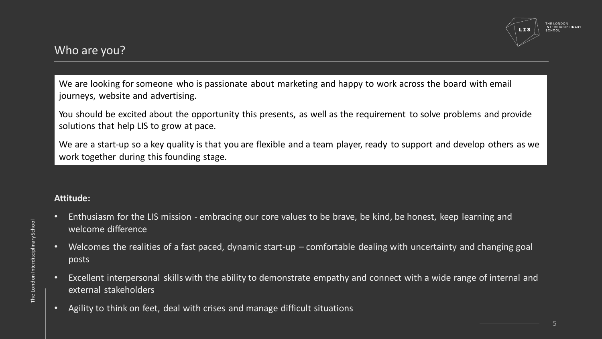# Who are you?

We are looking for someone who is passionate about marketing and happy to work across the board with email journeys, website and advertising.

You should be excited about the opportunity this presents, as well as the requirement to solve problems and provide solutions that help LIS to grow at pace.

We are a start-up so a key quality is that you are flexible and a team player, ready to support and develop others as we work together during this founding stage.

#### **Attitude:**

- Enthusiasm for the LIS mission embracing our core values to be brave, be kind, be honest, keep learning and welcome difference
- Welcomes the realities of a fast paced, dynamic start-up comfortable dealing with uncertainty and changing goal posts
- Excellent interpersonal skills with the ability to demonstrate empathy and connect with a wide range of internal and external stakeholders
- Agility to think on feet, deal with crises and manage difficult situations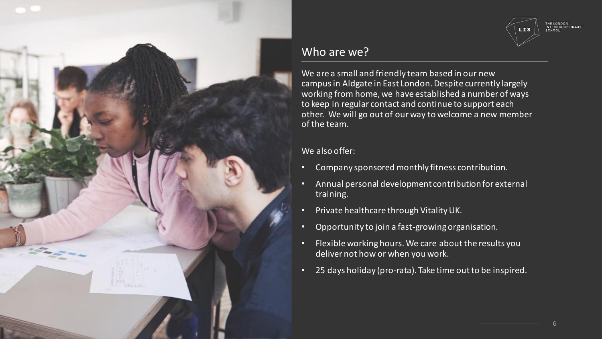

# **LIS**

THE LONDON<br>INTERDISCIPLINARY<br>SCHOOL

# Who are we?

We are a small and friendly team based in our new campusin Aldgate in East London. Despite currently largely working from home, we have established a number of ways to keep in regular contact and continue to support each other. We will go out of our way to welcome a new member of the team.

#### We also offer:

- Company sponsored monthly fitness contribution.
- Annual personal development contribution for external training.
- Private healthcare through Vitality UK.
- Opportunity to join a fast-growing organisation.
- Flexible working hours. We care about the results you deliver not how or when you work.
- 25 days holiday (pro-rata). Take time out to be inspired.